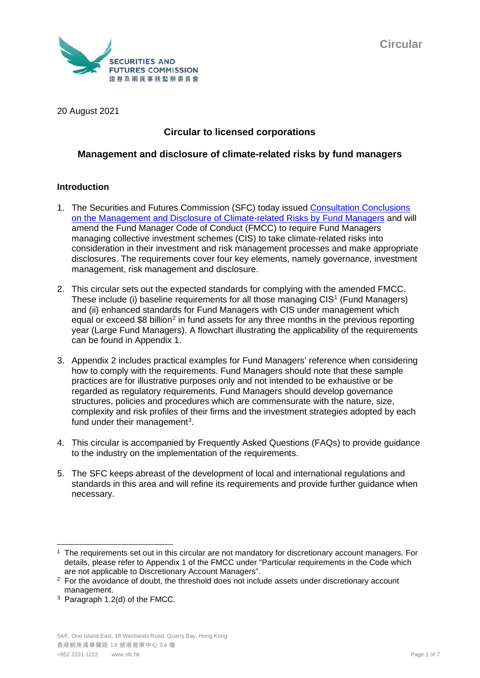

20 August 2021

# **Circular to licensed corporations**

## **Management and disclosure of climate-related risks by fund managers**

## **Introduction**

- 1. The Securities and Futures Commission (SFC) today issued [Consultation Conclusions](https://apps.sfc.hk/edistributionWeb/gateway/EN/consultation/conclusion?refNo=20CP5)  [on the Management and Disclosure of Climate-related Risks by Fund Managers](https://apps.sfc.hk/edistributionWeb/gateway/EN/consultation/conclusion?refNo=20CP5) and will amend the Fund Manager Code of Conduct (FMCC) to require Fund Managers managing collective investment schemes (CIS) to take climate-related risks into consideration in their investment and risk management processes and make appropriate disclosures. The requirements cover four key elements, namely governance, investment management, risk management and disclosure.
- 2. This circular sets out the expected standards for complying with the amended FMCC. These include (i) baseline requirements for all those managing CIS[1](#page-0-0) (Fund Managers) and (ii) enhanced standards for Fund Managers with CIS under management which equal or exceed \$8 billion<sup>[2](#page-0-1)</sup> in fund assets for any three months in the previous reporting year (Large Fund Managers). A flowchart illustrating the applicability of the requirements can be found in Appendix 1.
- 3. Appendix 2 includes practical examples for Fund Managers' reference when considering how to comply with the requirements. Fund Managers should note that these sample practices are for illustrative purposes only and not intended to be exhaustive or be regarded as regulatory requirements. Fund Managers should develop governance structures, policies and procedures which are commensurate with the nature, size, complexity and risk profiles of their firms and the investment strategies adopted by each fund under their management<sup>[3](#page-0-2)</sup>.
- 4. This circular is accompanied by Frequently Asked Questions (FAQs) to provide guidance to the industry on the implementation of the requirements.
- 5. The SFC keeps abreast of the development of local and international regulations and standards in this area and will refine its requirements and provide further guidance when necessary.

<span id="page-0-0"></span><sup>&</sup>lt;sup>1</sup> The requirements set out in this circular are not mandatory for discretionary account managers. For details, please refer to Appendix 1 of the FMCC under "Particular requirements in the Code which are not applicable to Discretionary Account Managers".

<span id="page-0-1"></span><sup>&</sup>lt;sup>2</sup> For the avoidance of doubt, the threshold does not include assets under discretionary account management.

<span id="page-0-2"></span><sup>3</sup> Paragraph 1.2(d) of the FMCC.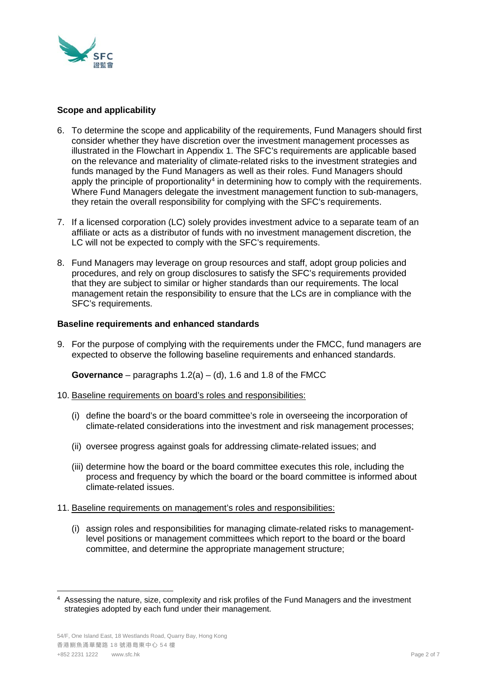

## **Scope and applicability**

- 6. To determine the scope and applicability of the requirements, Fund Managers should first consider whether they have discretion over the investment management processes as illustrated in the Flowchart in Appendix 1. The SFC's requirements are applicable based on the relevance and materiality of climate-related risks to the investment strategies and funds managed by the Fund Managers as well as their roles. Fund Managers should apply the principle of proportionality<sup>[4](#page-1-0)</sup> in determining how to comply with the requirements. Where Fund Managers delegate the investment management function to sub-managers, they retain the overall responsibility for complying with the SFC's requirements.
- 7. If a licensed corporation (LC) solely provides investment advice to a separate team of an affiliate or acts as a distributor of funds with no investment management discretion, the LC will not be expected to comply with the SFC's requirements.
- 8. Fund Managers may leverage on group resources and staff, adopt group policies and procedures, and rely on group disclosures to satisfy the SFC's requirements provided that they are subject to similar or higher standards than our requirements. The local management retain the responsibility to ensure that the LCs are in compliance with the SFC's requirements.

## **Baseline requirements and enhanced standards**

9. For the purpose of complying with the requirements under the FMCC, fund managers are expected to observe the following baseline requirements and enhanced standards.

**Governance** – paragraphs 1.2(a) – (d), 1.6 and 1.8 of the FMCC

- 10. Baseline requirements on board's roles and responsibilities:
	- (i) define the board's or the board committee's role in overseeing the incorporation of climate-related considerations into the investment and risk management processes;
	- (ii) oversee progress against goals for addressing climate-related issues; and
	- (iii) determine how the board or the board committee executes this role, including the process and frequency by which the board or the board committee is informed about climate-related issues.
- 11. Baseline requirements on management's roles and responsibilities:
	- (i) assign roles and responsibilities for managing climate-related risks to managementlevel positions or management committees which report to the board or the board committee, and determine the appropriate management structure;

<span id="page-1-0"></span><sup>4</sup> Assessing the nature, size, complexity and risk profiles of the Fund Managers and the investment strategies adopted by each fund under their management.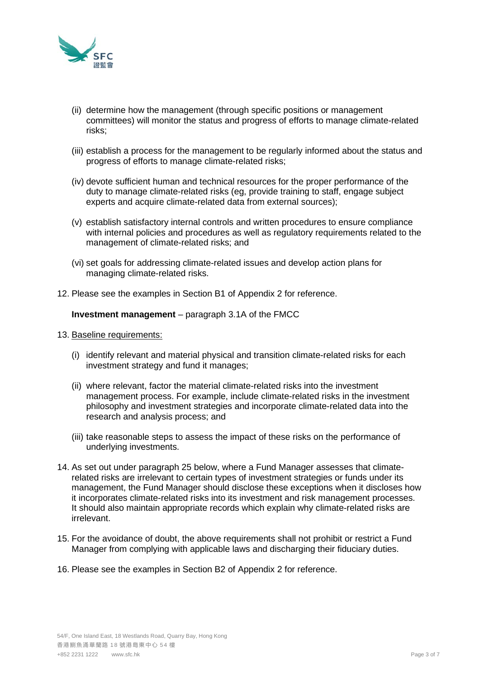

- (ii) determine how the management (through specific positions or management committees) will monitor the status and progress of efforts to manage climate-related risks;
- (iii) establish a process for the management to be regularly informed about the status and progress of efforts to manage climate-related risks;
- (iv) devote sufficient human and technical resources for the proper performance of the duty to manage climate-related risks (eg, provide training to staff, engage subject experts and acquire climate-related data from external sources);
- (v) establish satisfactory internal controls and written procedures to ensure compliance with internal policies and procedures as well as regulatory requirements related to the management of climate-related risks; and
- (vi) set goals for addressing climate-related issues and develop action plans for managing climate-related risks.
- 12. Please see the examples in Section B1 of Appendix 2 for reference.

## **Investment management** – paragraph 3.1A of the FMCC

- 13. Baseline requirements:
	- (i) identify relevant and material physical and transition climate-related risks for each investment strategy and fund it manages;
	- (ii) where relevant, factor the material climate-related risks into the investment management process. For example, include climate-related risks in the investment philosophy and investment strategies and incorporate climate-related data into the research and analysis process; and
	- (iii) take reasonable steps to assess the impact of these risks on the performance of underlying investments.
- 14. As set out under paragraph 25 below, where a Fund Manager assesses that climaterelated risks are irrelevant to certain types of investment strategies or funds under its management, the Fund Manager should disclose these exceptions when it discloses how it incorporates climate-related risks into its investment and risk management processes. It should also maintain appropriate records which explain why climate-related risks are irrelevant.
- 15. For the avoidance of doubt, the above requirements shall not prohibit or restrict a Fund Manager from complying with applicable laws and discharging their fiduciary duties.
- 16. Please see the examples in Section B2 of Appendix 2 for reference.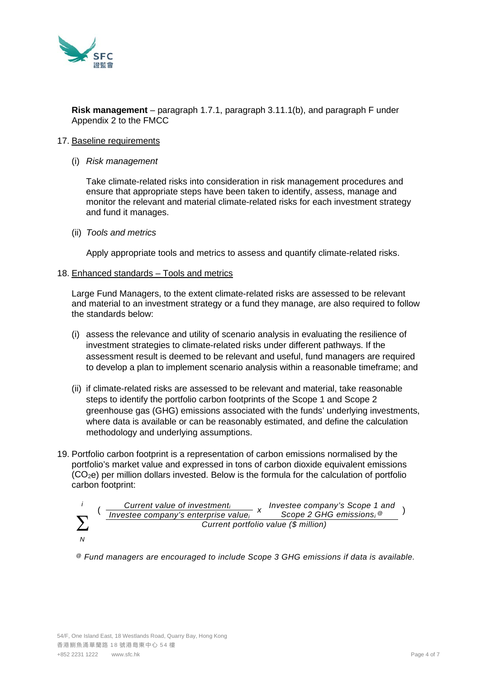

**Risk management** – paragraph 1.7.1, paragraph 3.11.1(b), and paragraph F under Appendix 2 to the FMCC

#### 17. Baseline requirements

(i) *Risk management*

Take climate-related risks into consideration in risk management procedures and ensure that appropriate steps have been taken to identify, assess, manage and monitor the relevant and material climate-related risks for each investment strategy and fund it manages.

(ii) *Tools and metrics*

Apply appropriate tools and metrics to assess and quantify climate-related risks.

#### 18. Enhanced standards – Tools and metrics

Large Fund Managers, to the extent climate-related risks are assessed to be relevant and material to an investment strategy or a fund they manage, are also required to follow the standards below:

- (i) assess the relevance and utility of scenario analysis in evaluating the resilience of investment strategies to climate-related risks under different pathways. If the assessment result is deemed to be relevant and useful, fund managers are required to develop a plan to implement scenario analysis within a reasonable timeframe; and
- (ii) if climate-related risks are assessed to be relevant and material, take reasonable steps to identify the portfolio carbon footprints of the Scope 1 and Scope 2 greenhouse gas (GHG) emissions associated with the funds' underlying investments, where data is available or can be reasonably estimated, and define the calculation methodology and underlying assumptions.
- 19. Portfolio carbon footprint is a representation of carbon emissions normalised by the portfolio's market value and expressed in tons of carbon dioxide equivalent emissions  $(CO<sub>2</sub>e)$  per million dollars invested. Below is the formula for the calculation of portfolio carbon footprint:



( *Current value of investment<sub>i</sub> <i>x Investee company's Scope 1 and point investee company's enterprise value<sub>i</sub> <i>x Scope 2 GHG emissions*<sub>i</sub> <sup>@</sup> *Scope 2 GHG emissionsi Current portfolio value (\$ million)*

*@ Fund managers are encouraged to include Scope 3 GHG emissions if data is available.*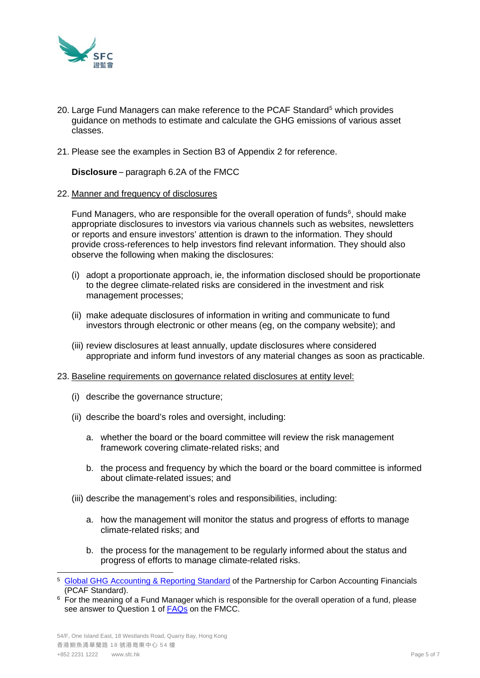

- 20. Large Fund Managers can make reference to the PCAF Standard<sup>[5](#page-4-0)</sup> which provides guidance on methods to estimate and calculate the GHG emissions of various asset classes.
- 21. Please see the examples in Section B3 of Appendix 2 for reference.

**Disclosure** – paragraph 6.2A of the FMCC

#### 22. Manner and frequency of disclosures

Fund Managers, who are responsible for the overall operation of funds<sup>[6](#page-4-1)</sup>, should make appropriate disclosures to investors via various channels such as websites, newsletters or reports and ensure investors' attention is drawn to the information. They should provide cross-references to help investors find relevant information. They should also observe the following when making the disclosures:

- (i) adopt a proportionate approach, ie, the information disclosed should be proportionate to the degree climate-related risks are considered in the investment and risk management processes;
- (ii) make adequate disclosures of information in writing and communicate to fund investors through electronic or other means (eg, on the company website); and
- (iii) review disclosures at least annually, update disclosures where considered appropriate and inform fund investors of any material changes as soon as practicable.
- 23. Baseline requirements on governance related disclosures at entity level:
	- (i) describe the governance structure;
	- (ii) describe the board's roles and oversight, including:
		- a. whether the board or the board committee will review the risk management framework covering climate-related risks; and
		- b. the process and frequency by which the board or the board committee is informed about climate-related issues; and
	- (iii) describe the management's roles and responsibilities, including:
		- a. how the management will monitor the status and progress of efforts to manage climate-related risks; and
		- b. the process for the management to be regularly informed about the status and progress of efforts to manage climate-related risks.

<span id="page-4-0"></span><sup>&</sup>lt;sup>5</sup> [Global GHG Accounting & Reporting Standard](https://carbonaccountingfinancials.com/standard) of the Partnership for Carbon Accounting Financials (PCAF Standard).

<span id="page-4-1"></span> $6$  For the meaning of a Fund Manager which is responsible for the overall operation of a fund, please see answer to Question 1 of [FAQs](https://www.sfc.hk/en/faqs/intermediaries/supervision/Fund-Manager-Code-of-Conduct/Fund-Manager-Code-of-Conduct) on the FMCC.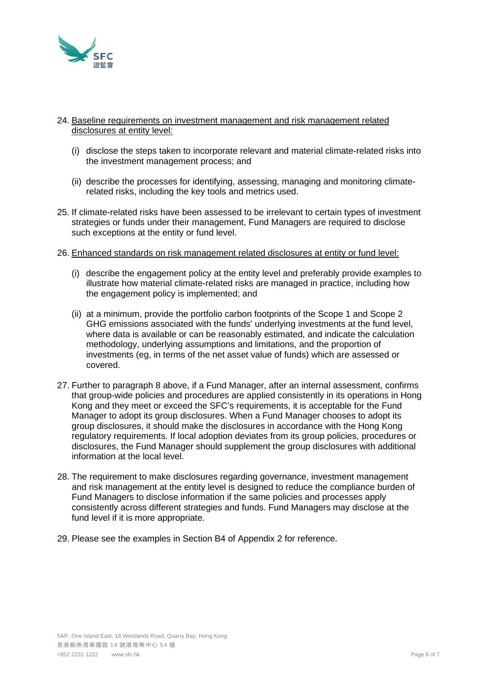

## 24. Baseline requirements on investment management and risk management related disclosures at entity level:

- (i) disclose the steps taken to incorporate relevant and material climate-related risks into the investment management process; and
- (ii) describe the processes for identifying, assessing, managing and monitoring climaterelated risks, including the key tools and metrics used.
- 25. If climate-related risks have been assessed to be irrelevant to certain types of investment strategies or funds under their management, Fund Managers are required to disclose such exceptions at the entity or fund level.
- 26. Enhanced standards on risk management related disclosures at entity or fund level:
	- (i) describe the engagement policy at the entity level and preferably provide examples to illustrate how material climate-related risks are managed in practice, including how the engagement policy is implemented; and
	- (ii) at a minimum, provide the portfolio carbon footprints of the Scope 1 and Scope 2 GHG emissions associated with the funds' underlying investments at the fund level, where data is available or can be reasonably estimated, and indicate the calculation methodology, underlying assumptions and limitations, and the proportion of investments (eg, in terms of the net asset value of funds) which are assessed or covered.
- 27. Further to paragraph 8 above, if a Fund Manager, after an internal assessment, confirms that group-wide policies and procedures are applied consistently in its operations in Hong Kong and they meet or exceed the SFC's requirements, it is acceptable for the Fund Manager to adopt its group disclosures. When a Fund Manager chooses to adopt its group disclosures, it should make the disclosures in accordance with the Hong Kong regulatory requirements. If local adoption deviates from its group policies, procedures or disclosures, the Fund Manager should supplement the group disclosures with additional information at the local level.
- 28. The requirement to make disclosures regarding governance, investment management and risk management at the entity level is designed to reduce the compliance burden of Fund Managers to disclose information if the same policies and processes apply consistently across different strategies and funds. Fund Managers may disclose at the fund level if it is more appropriate.
- 29. Please see the examples in Section B4 of Appendix 2 for reference.